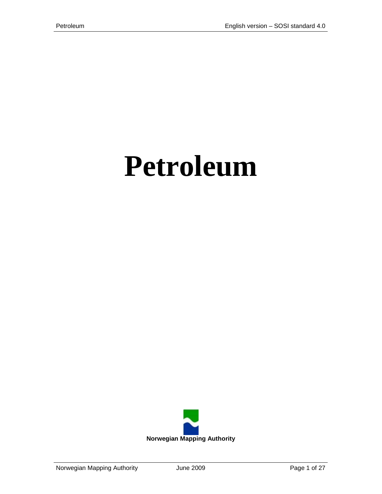# **Petroleum**

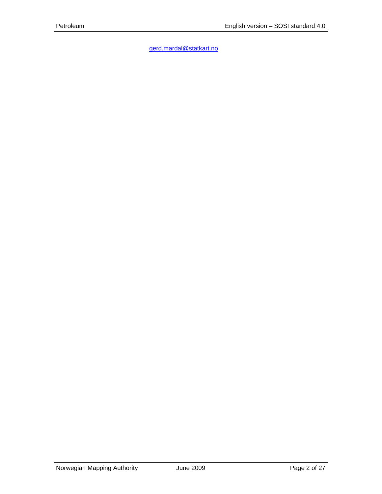[gerd.mardal@statkart.no](mailto:gerd.mardal@statkart.no)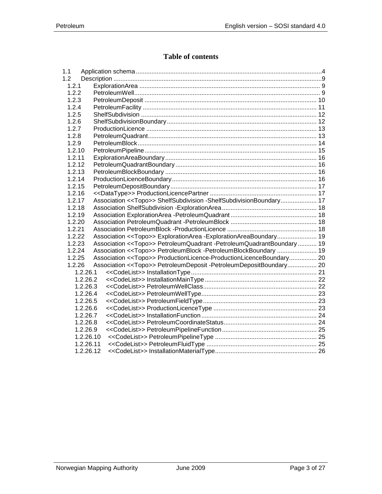# **Table of contents**

| 1.1    |           |                                                                                 |  |
|--------|-----------|---------------------------------------------------------------------------------|--|
| 1.2    |           |                                                                                 |  |
| 1.2.1  |           |                                                                                 |  |
| 1.2.2  |           |                                                                                 |  |
| 1.2.3  |           |                                                                                 |  |
| 1.2.4  |           |                                                                                 |  |
| 1.2.5  |           |                                                                                 |  |
| 1.2.6  |           |                                                                                 |  |
| 1.2.7  |           |                                                                                 |  |
| 1.2.8  |           |                                                                                 |  |
| 1.2.9  |           |                                                                                 |  |
| 1.2.10 |           |                                                                                 |  |
| 1.2.11 |           |                                                                                 |  |
| 1.2.12 |           |                                                                                 |  |
| 1.2.13 |           |                                                                                 |  |
| 1.2.14 |           |                                                                                 |  |
| 1.2.15 |           |                                                                                 |  |
| 1.2.16 |           |                                                                                 |  |
| 1.2.17 |           | Association < <topo>&gt; ShelfSubdivision -ShelfSubdivisionBoundary 17</topo>   |  |
| 1.2.18 |           |                                                                                 |  |
| 1.2.19 |           |                                                                                 |  |
| 1.2.20 |           |                                                                                 |  |
| 1.2.21 |           |                                                                                 |  |
| 1.2.22 |           | Association < <topo>&gt; ExplorationArea -ExplorationAreaBoundary 19</topo>     |  |
| 1.2.23 |           | Association < <topo>&gt; PetroleumQuadrant -PetroleumQuadrantBoundary 19</topo> |  |
| 1.2.24 |           | Association << Topo>> PetroleumBlock - PetroleumBlockBoundary  19               |  |
| 1.2.25 |           | Association < <topo>&gt; ProductionLicence-ProductionLicenceBoundary 20</topo>  |  |
| 1.2.26 |           | Association < <topo>&gt; PetroleumDeposit -PetroleumDepositBoundary 20</topo>   |  |
|        | 1.2.26.1  |                                                                                 |  |
|        | 1.2.26.2  |                                                                                 |  |
|        | 1.2.26.3  |                                                                                 |  |
|        | 1.2.26.4  |                                                                                 |  |
|        | 1.2.26.5  |                                                                                 |  |
|        | 1.2.26.6  |                                                                                 |  |
|        | 1.2.26.7  |                                                                                 |  |
|        | 1.2.26.8  |                                                                                 |  |
|        | 1.2.26.9  |                                                                                 |  |
|        | 1.2.26.10 |                                                                                 |  |
|        | 1.2.26.11 |                                                                                 |  |
|        | 1.2.26.12 |                                                                                 |  |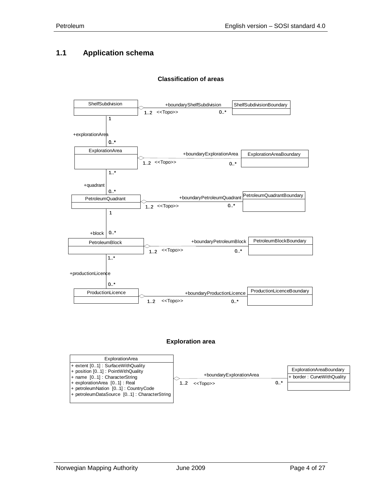#### <span id="page-3-0"></span>**1.1 Application schema**

# ShelfSubdivision **ShelfSubdivision** ShelfSubdivisionBoundary ShelfSubdivisionBoundary  $1..2$  <<Topo>>  $0..*$ ExplorationArea <br>
+boundaryExplorationArea ExplorationAreaBoundary 1  $0.1*$ +explorationArea  $1..2$  <<Topo>>  $0..*$ The Community of the United States of the Abdundary PetroleumQuadrant PetroleumQuadrant Boundary 1..\*  $0.1$ \* +quadrant 1..2 <<Topo>> 0..\* PetroleumBlock 
<br>
PetroleumBlock 
<br>
a boundaryPetroleumBlock

<br>
PetroleumBlockBoundary 1 +block  $\vert 0.^*$ 1..2 <<Topo>> 0..\* ProductionLicence **Accord Engineeries** +boundaryProductionLicence ProductionLicenceBoundary  $1.$ \*  $0.1$ +productionLicence  $1..2$  <<Topo>>  $0..*$

#### **Classification of areas**

#### **Exploration area**

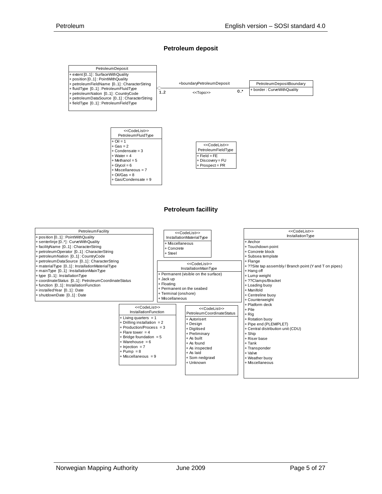#### **Petroleum deposit**



#### **Petroleum facillity**

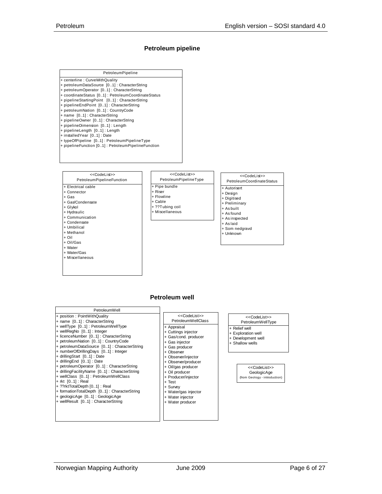#### **Petroleum pipeline**



#### **Petroleum well**

+ Appraisal + Cuttings injector + Gas/cond. producer + Gas injector + Gas producer + Observer + Observer/injector + Observer/producer + Oil/gas producer + Oil producer + Producer/injector + Test + Survey + Water/gas injector + Water injector + Water producer

PetroleumWellClass

<<CodeList>>

| PetroleumWell                                |
|----------------------------------------------|
| + position: PointWithQuality                 |
| + name [01] : CharacterString                |
| + wellType [01] : PetroleumWellType          |
| + wellRegNo [01] : Integer                   |
| + licenceNumber [01]: CharacterString        |
| + petroleumNation [01]: CountryCode          |
| + petroleumDataSource [01]: CharacterString  |
| + numberOfDrillingDays [01]: Integer         |
| + drillingStart [01] : Date                  |
| + drilling End [01] : Date                   |
| + petroleumOperator [01]: CharacterString    |
| + drillingFacilityName [01]: CharacterString |
| + wellClass [01]: PetroleumWellClass         |
| + rkt [01] : Real                            |
| + ??rktTotalDepth [01] : Real                |
| + formationTotalDepth [01]: CharacterString  |
| + geologicAge [01] : GeologicAge             |
| + wellResult [01]: CharacterString           |
|                                              |
|                                              |

#### <<CodeList>>

- PetroleumWellType
- + Exploration well
- + Development well
- 

GeologicAge (from Geology - introduction) <<CodeList>>

- + Relief well
- 
- Shallow wells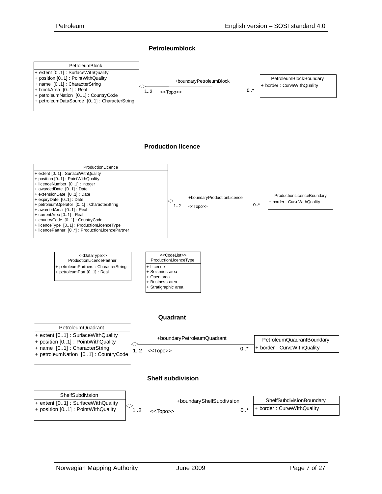#### **Petroleumblock**



#### **Production licence**





#### **Shelf subdivision**

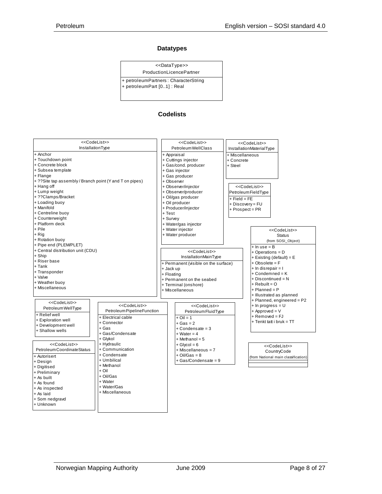#### **Datatypes**

<<DataType>>

ProductionLicencePartner + petroleumPartners : CharacterString

+ petroleumPart [0..1] : Real

#### **Codelists**

| < <codelist>&gt;</codelist>                              |                             |                      | < <codelist>&gt;</codelist>                     |                      | < <codelist>&gt;</codelist>         |
|----------------------------------------------------------|-----------------------------|----------------------|-------------------------------------------------|----------------------|-------------------------------------|
| InstallationType                                         |                             |                      | Petroleum WellClass<br>InstallationMaterialType |                      |                                     |
| + Anchor                                                 |                             |                      | + Appraisal                                     | + Miscellaneous      |                                     |
| + Touchdown point                                        |                             |                      | + Cuttings injector                             | + Concrete           |                                     |
| + Concrete block                                         |                             |                      | + Gas/cond. producer                            | + Steel              |                                     |
| + Subsea template                                        |                             |                      | + Gas injector                                  |                      |                                     |
| + Flange                                                 |                             |                      | + Gas producer                                  |                      |                                     |
| + ?? Site tap assembly / Branch point (Y and T on pipes) |                             |                      | + Observer                                      |                      |                                     |
| + Hang off                                               |                             |                      | + Observer/injector                             |                      | < <codelist>&gt;</codelist>         |
| + Lump weight                                            |                             |                      | + Observer/producer                             | Petroleum Field Type |                                     |
| + ??Clamps/Bracket                                       |                             |                      | + Oil/gas producer                              |                      |                                     |
| + Loading buoy                                           |                             |                      | + Oil producer                                  | $+$ Field = FE       |                                     |
| + Manifold                                               |                             |                      | + Producer/injector                             | + Discovery = FU     |                                     |
| + Centreline buoy                                        |                             | + Test               |                                                 | + Prospect = PR      |                                     |
| + Counterweight                                          |                             | + Survey             |                                                 |                      |                                     |
| + Platform deck                                          |                             |                      |                                                 |                      |                                     |
| + Pile                                                   |                             |                      | + Water/gas injector                            |                      |                                     |
|                                                          |                             |                      | + Water injector                                |                      | < <codelist>&gt;</codelist>         |
| + Rig                                                    |                             |                      | + Water producer                                |                      | <b>Status</b>                       |
| + Rotation buoy                                          |                             |                      |                                                 |                      | (from SOSI Object)                  |
| + Pipe end (PLEMPLET)                                    |                             |                      |                                                 |                      | $+$ In use = B                      |
| + Central distribution unit (CDU)                        |                             |                      | < <codelist>&gt;</codelist>                     |                      | $+$ Operations = D                  |
| + Ship                                                   |                             |                      | InstallationMainType                            |                      | + Existing (default) = $E$          |
| + Riser base                                             |                             |                      | + Permanent (visible on the surface)            |                      | $+$ Obsolete = $F$                  |
| $+$ Tank                                                 |                             | + Jack up            |                                                 |                      | + In disrepair = I                  |
| + Transponder                                            |                             | + Floating           |                                                 |                      | $+$ Condemned = $K$                 |
| + Valve                                                  |                             |                      | + Permanent on the seabed                       |                      | $+$ Discontinued = N                |
| + Weather buoy                                           |                             | + Terminal (onshore) |                                                 |                      | $+$ Rebuilt = O                     |
| + Miscellaneous                                          |                             | + Miscellaneous      |                                                 |                      | $+$ Planned = P                     |
|                                                          |                             |                      |                                                 |                      | + Illustrated as planned            |
| < <codelist>&gt;</codelist>                              |                             |                      |                                                 |                      | + Planned, engineered = P2          |
|                                                          | < <codelist>&gt;</codelist> |                      | < <codelist>&gt;</codelist>                     |                      | $+$ In progress = U                 |
| Petroleum WellType                                       | Petroleum Pipeline Function |                      | Petroleum Fluid Type                            |                      | $+$ Approved = $V$                  |
| + Relief well                                            | + Electrical cable          |                      | $+$ Oil = 1                                     |                      | $+$ Removed = FJ                    |
| + Exploration well                                       | + Connector                 |                      | $+$ Gas = 2                                     |                      | + Tenkt tatt i bruk = TT            |
| + Development well                                       | + Gas                       |                      | $+$ Condensate = 3                              |                      |                                     |
| + Shallow wells                                          | + Gas/Condensate            |                      | $+ Water = 4$                                   |                      |                                     |
|                                                          | + Glykol                    |                      | + Methanol = 5                                  |                      |                                     |
| < <codelist>&gt;</codelist>                              | + Hydraulic                 |                      | $+$ Glycol = 6                                  |                      |                                     |
| Petroleum CoordinateStatus                               | + Communication             |                      | + Miscellaneous = 7                             |                      | < <codelist>&gt;</codelist>         |
|                                                          | + Condensate                |                      | $+$ Oil/Gas = 8                                 |                      | CountryCode                         |
| + Autorisert                                             | + Umbilical                 |                      | + Gas/Condensate = 9                            |                      | (from National main classification) |
| + Design                                                 | + Methanol                  |                      |                                                 |                      |                                     |
| + Digitised                                              | + Oil                       |                      |                                                 |                      |                                     |
| + Preliminary                                            | + Oil/Gas                   |                      |                                                 |                      |                                     |
| + As built                                               | + Water                     |                      |                                                 |                      |                                     |
| + As found<br>+ Water/Gas                                |                             |                      |                                                 |                      |                                     |
| + As inspected                                           | + Miscellaneous             |                      |                                                 |                      |                                     |
| + As laid                                                |                             |                      |                                                 |                      |                                     |
| + Som nedgravd                                           |                             |                      |                                                 |                      |                                     |
| + Unknown                                                |                             |                      |                                                 |                      |                                     |
|                                                          |                             |                      |                                                 |                      |                                     |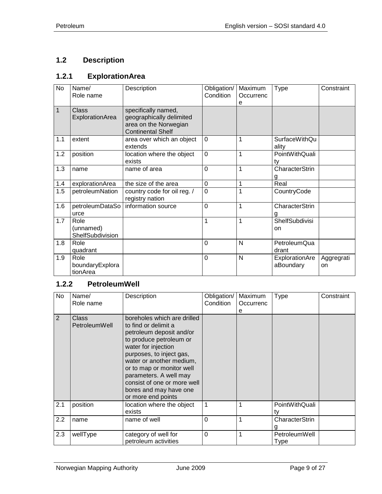# <span id="page-8-0"></span>**1.2 Description**

## <span id="page-8-1"></span>**1.2.1 ExplorationArea**

| No  | Name/<br>Role name                    | Description                                                                                          | Obligation/<br>Condition | Maximum<br>Occurrenc<br>e | <b>Type</b>                   | Constraint       |
|-----|---------------------------------------|------------------------------------------------------------------------------------------------------|--------------------------|---------------------------|-------------------------------|------------------|
| 1   | <b>Class</b><br>ExplorationArea       | specifically named,<br>geographically delimited<br>area on the Norwegian<br><b>Continental Shelf</b> |                          |                           |                               |                  |
| 1.1 | extent                                | area over which an object<br>extends                                                                 | $\mathbf 0$              | 1                         | <b>SurfaceWithQu</b><br>ality |                  |
| 1.2 | position                              | location where the object<br>exists                                                                  | $\Omega$                 | 1                         | PointWithQuali<br>ty          |                  |
| 1.3 | name                                  | name of area                                                                                         | $\mathbf 0$              | $\overline{1}$            | <b>CharacterStrin</b><br>g    |                  |
| 1.4 | explorationArea                       | the size of the area                                                                                 | $\mathbf 0$              | 1                         | Real                          |                  |
| 1.5 | petroleumNation                       | country code for oil reg. /<br>registry nation                                                       | $\overline{0}$           | 1                         | CountryCode                   |                  |
| 1.6 | petroleumDataSo<br>urce               | information source                                                                                   | $\mathbf 0$              | $\mathbf{1}$              | CharacterStrin<br>g           |                  |
| 1.7 | Role<br>(unnamed)<br>ShelfSubdivision |                                                                                                      | 1                        | 1                         | ShelfSubdivisi<br>on          |                  |
| 1.8 | Role<br>quadrant                      |                                                                                                      | $\mathbf 0$              | N                         | PetroleumQua<br>drant         |                  |
| 1.9 | Role<br>boundaryExplora<br>tionArea   |                                                                                                      | $\mathbf 0$              | N                         | ExplorationAre<br>aBoundary   | Aggregrati<br>on |

#### <span id="page-8-2"></span>**1.2.2 PetroleumWell**

| No  | Name/<br>Role name     | Description                                                                                                                                                                                                                                                                                                                     | Obligation/<br>Condition | Maximum<br>Occurrenc<br>е | <b>Type</b>                  | Constraint |
|-----|------------------------|---------------------------------------------------------------------------------------------------------------------------------------------------------------------------------------------------------------------------------------------------------------------------------------------------------------------------------|--------------------------|---------------------------|------------------------------|------------|
| 2   | Class<br>PetroleumWell | boreholes which are drilled<br>to find or delimit a<br>petroleum deposit and/or<br>to produce petroleum or<br>water for injection<br>purposes, to inject gas,<br>water or another medium,<br>or to map or monitor well<br>parameters. A well may<br>consist of one or more well<br>bores and may have one<br>or more end points |                          |                           |                              |            |
| 2.1 | position               | location where the object<br>exists                                                                                                                                                                                                                                                                                             |                          |                           | PointWithQuali<br>tv         |            |
| 2.2 | name                   | name of well                                                                                                                                                                                                                                                                                                                    | 0                        |                           | CharacterStrin               |            |
| 2.3 | wellType               | category of well for<br>petroleum activities                                                                                                                                                                                                                                                                                    | $\Omega$                 |                           | <b>PetroleumWell</b><br>Type |            |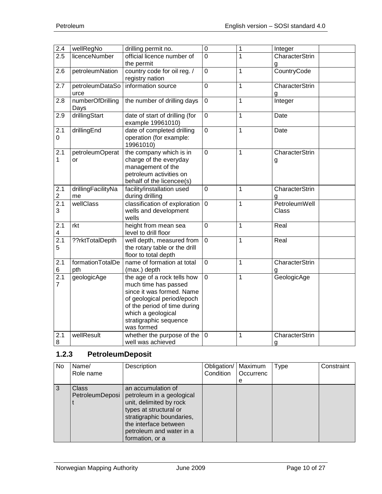| 2.4              | wellRegNo            | drilling permit no.            | $\overline{0}$ | $\mathbf{1}$   | Integer               |
|------------------|----------------------|--------------------------------|----------------|----------------|-----------------------|
| 2.5              | <b>licenceNumber</b> | official licence number of     | $\overline{0}$ | 1              | CharacterStrin        |
|                  |                      | the permit                     |                |                | g                     |
| 2.6              | petroleumNation      | country code for oil reg. /    | $\mathbf 0$    | $\overline{1}$ | CountryCode           |
|                  |                      | registry nation                |                |                |                       |
| 2.7              | petroleumDataSo      | information source             | 0              | 1              | <b>CharacterStrin</b> |
|                  | urce                 |                                |                |                | g                     |
| 2.8              | numberOfDrilling     | the number of drilling days    | $\mathbf 0$    | 1              | Integer               |
|                  | Days                 |                                |                |                |                       |
| 2.9              | drillingStart        | date of start of drilling (for | 0              | 1              | Date                  |
|                  |                      | example 19961010)              |                |                |                       |
| 2.1              | drillingEnd          | date of completed drilling     | $\overline{0}$ | 1              | Date                  |
| 0                |                      | operation (for example:        |                |                |                       |
|                  |                      | 19961010)                      |                |                |                       |
| $\overline{2.1}$ | petroleumOperat      | the company which is in        | $\overline{0}$ | 1              | <b>CharacterStrin</b> |
| $\mathbf{1}$     | or                   | charge of the everyday         |                |                | g                     |
|                  |                      | management of the              |                |                |                       |
|                  |                      | petroleum activities on        |                |                |                       |
|                  |                      | behalf of the licencee(s)      |                |                |                       |
| 2.1              | drillingFacilityNa   | facility/installation used     | 0              | $\mathbf 1$    | CharacterStrin        |
| $\overline{c}$   | me                   | during drilling                |                |                |                       |
| $\overline{2.1}$ | wellClass            | classification of exploration  | $\mathbf 0$    | 1              | PetroleumWell         |
| 3                |                      | wells and development          |                |                | Class                 |
|                  |                      | wells                          |                |                |                       |
| 2.1              | rkt                  | height from mean sea           | 0              | 1              | Real                  |
| 4                |                      | level to drill floor           |                |                |                       |
| $\overline{2.1}$ | ??rktTotalDepth      | well depth, measured from      | $\overline{0}$ | $\mathbf 1$    | Real                  |
| 5                |                      | the rotary table or the drill  |                |                |                       |
|                  |                      | floor to total depth           |                |                |                       |
| 2.1              | formationTotalDe     | name of formation at total     | 0              | 1              | CharacterStrin        |
| 6                | pth                  | (max.) depth                   |                |                | g                     |
| 2.1              | geologicAge          | the age of a rock tells how    | $\overline{0}$ | 1              | GeologicAge           |
| $\overline{7}$   |                      | much time has passed           |                |                |                       |
|                  |                      | since it was formed. Name      |                |                |                       |
|                  |                      | of geological period/epoch     |                |                |                       |
|                  |                      | of the period of time during   |                |                |                       |
|                  |                      | which a geological             |                |                |                       |
|                  |                      | stratigraphic sequence         |                |                |                       |
|                  |                      | was formed                     |                |                |                       |
| 2.1              | wellResult           | whether the purpose of the     | $\mathbf 0$    | 1              | CharacterStrin        |
| 8                |                      | well was achieved              |                |                | g                     |

# <span id="page-9-0"></span>**1.2.3 PetroleumDeposit**

| No. | Name/<br>Role name              | Description                                                                                                                                                                                               | Obligation/<br>Condition | Maximum<br>Occurrenc<br>e | Type | Constraint |
|-----|---------------------------------|-----------------------------------------------------------------------------------------------------------------------------------------------------------------------------------------------------------|--------------------------|---------------------------|------|------------|
| 3   | <b>Class</b><br>PetroleumDeposi | an accumulation of<br>petroleum in a geological<br>unit, delimited by rock<br>types at structural or<br>stratigraphic boundaries,<br>the interface between<br>petroleum and water in a<br>formation, or a |                          |                           |      |            |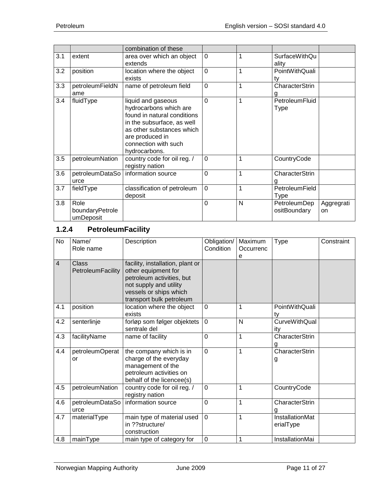|     |                                      | combination of these                                                                                                                                                                               |                |   |                               |                  |
|-----|--------------------------------------|----------------------------------------------------------------------------------------------------------------------------------------------------------------------------------------------------|----------------|---|-------------------------------|------------------|
| 3.1 | extent                               | area over which an object<br>extends                                                                                                                                                               | $\mathbf 0$    | 1 | <b>SurfaceWithQu</b><br>ality |                  |
| 3.2 | position                             | location where the object<br>exists                                                                                                                                                                | $\overline{0}$ | 1 | PointWithQuali<br>ty          |                  |
| 3.3 | petroleumFieldN<br>ame               | name of petroleum field                                                                                                                                                                            | $\overline{0}$ | 1 | CharacterStrin                |                  |
| 3.4 | fluidType                            | liquid and gaseous<br>hydrocarbons which are<br>found in natural conditions<br>in the subsurface, as well<br>as other substances which<br>are produced in<br>connection with such<br>hydrocarbons. | $\Omega$       | 1 | PetroleumFluid<br>Type        |                  |
| 3.5 | petroleumNation                      | country code for oil reg. /<br>registry nation                                                                                                                                                     | $\Omega$       | 1 | CountryCode                   |                  |
| 3.6 | petroleumDataSo<br>urce              | information source                                                                                                                                                                                 | $\overline{0}$ | 1 | CharacterStrin                |                  |
| 3.7 | fieldType                            | classification of petroleum<br>deposit                                                                                                                                                             | $\mathbf 0$    | 1 | PetroleumField<br>Type        |                  |
| 3.8 | Role<br>boundaryPetrole<br>umDeposit |                                                                                                                                                                                                    | $\overline{0}$ | N | PetroleumDep<br>ositBoundary  | Aggregrati<br>on |

# <span id="page-10-0"></span>**1.2.4 PetroleumFacility**

| <b>No</b> | Name/<br>Role name                | Description                                                                                                                                                          | Obligation/<br>Condition | Maximum<br>Occurrenc<br>е | <b>Type</b>                  | Constraint |
|-----------|-----------------------------------|----------------------------------------------------------------------------------------------------------------------------------------------------------------------|--------------------------|---------------------------|------------------------------|------------|
| 4         | <b>Class</b><br>PetroleumFacility | facility, installation, plant or<br>other equipment for<br>petroleum activities, but<br>not supply and utility<br>vessels or ships which<br>transport bulk petroleum |                          |                           |                              |            |
| 4.1       | position                          | location where the object<br>exists                                                                                                                                  | $\overline{0}$           | 1                         | PointWithQuali<br>ty         |            |
| 4.2       | senterlinje                       | forløp som følger objektets<br>sentrale del                                                                                                                          | $\overline{0}$           | $\mathsf{N}$              | <b>CurveWithQual</b><br>itv  |            |
| 4.3       | facilityName                      | name of facility                                                                                                                                                     | $\overline{0}$           | 1                         | CharacterStrin               |            |
| 4.4       | petroleumOperat<br>or             | the company which is in<br>charge of the everyday<br>management of the<br>petroleum activities on<br>behalf of the licencee(s)                                       | $\mathbf 0$              | 1                         | CharacterStrin<br>g          |            |
| 4.5       | petroleumNation                   | country code for oil reg. /<br>registry nation                                                                                                                       | $\mathbf 0$              | 1                         | CountryCode                  |            |
| 4.6       | petroleumDataSo<br>urce           | information source                                                                                                                                                   | $\Omega$                 | 1                         | CharacterStrin               |            |
| 4.7       | materialType                      | main type of material used<br>in ??structure/<br>construction                                                                                                        | $\mathbf 0$              | 1                         | InstallationMat<br>erialType |            |
| 4.8       | mainType                          | main type of category for                                                                                                                                            | 0                        | 1                         | InstallationMai              |            |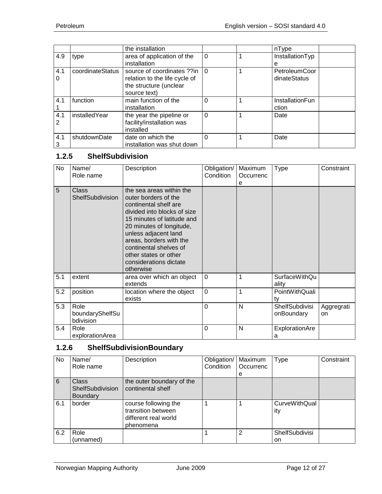|          |                  | the installation                                                                                      |          | nType                         |  |
|----------|------------------|-------------------------------------------------------------------------------------------------------|----------|-------------------------------|--|
| 4.9      | type             | area of application of the<br>installation                                                            | $\Omega$ | InstallationTyp<br>е          |  |
| 4.1<br>0 | coordinateStatus | source of coordinates ??in<br>relation to the life cycle of<br>the structure (unclear<br>source text) | l O      | PetroleumCoor<br>dinateStatus |  |
| 4.1      | function         | main function of the<br>installation                                                                  | $\Omega$ | InstallationFun<br>ction      |  |
| 4.1<br>2 | installedYear    | the year the pipeline or<br>facility/installation was<br>installed                                    | $\Omega$ | Date                          |  |
| 4.1<br>3 | shutdownDate     | date on which the<br>installation was shut down                                                       | $\Omega$ | Date                          |  |

#### <span id="page-11-0"></span>**1.2.5 ShelfSubdivision**

| No  | Name/<br>Role name                   | Description                                                                                                                                                                                                                                                                                                     | Obligation/<br>Condition | Maximum<br>Occurrenc<br>e | Type                                | Constraint       |
|-----|--------------------------------------|-----------------------------------------------------------------------------------------------------------------------------------------------------------------------------------------------------------------------------------------------------------------------------------------------------------------|--------------------------|---------------------------|-------------------------------------|------------------|
| 5   | <b>Class</b><br>ShelfSubdivision     | the sea areas within the<br>outer borders of the<br>continental shelf are<br>divided into blocks of size<br>15 minutes of latitude and<br>20 minutes of longitude,<br>unless adjacent land<br>areas, borders with the<br>continental shelves of<br>other states or other<br>considerations dictate<br>otherwise |                          |                           |                                     |                  |
| 5.1 | extent                               | area over which an object<br>extends                                                                                                                                                                                                                                                                            | $\Omega$                 | 1                         | <b>SurfaceWithQu</b><br>ality       |                  |
| 5.2 | position                             | location where the object<br>exists                                                                                                                                                                                                                                                                             | $\Omega$                 | 1                         | PointWithQuali<br>ty                |                  |
| 5.3 | Role<br>boundaryShelfSu<br>bdivision |                                                                                                                                                                                                                                                                                                                 | $\overline{0}$           | N                         | <b>ShelfSubdivisi</b><br>onBoundary | Aggregrati<br>on |
| 5.4 | Role<br>explorationArea              |                                                                                                                                                                                                                                                                                                                 | $\Omega$                 | N                         | ExplorationAre<br>a                 |                  |

#### <span id="page-11-1"></span>**1.2.6 ShelfSubdivisionBoundary**

| No  | Name/            | Description               | Obligation/ | Maximum   | <b>Type</b>           | Constraint |
|-----|------------------|---------------------------|-------------|-----------|-----------------------|------------|
|     | Role name        |                           | Condition   | Occurrenc |                       |            |
|     |                  |                           |             | е         |                       |            |
| 6   | <b>Class</b>     | the outer boundary of the |             |           |                       |            |
|     | ShelfSubdivision | continental shelf         |             |           |                       |            |
|     | <b>Boundary</b>  |                           |             |           |                       |            |
| 6.1 | border           | course following the      |             |           | <b>CurveWithQual</b>  |            |
|     |                  | transition between        |             |           | ity                   |            |
|     |                  | different real world      |             |           |                       |            |
|     |                  | phenomena                 |             |           |                       |            |
| 6.2 | Role             |                           |             | 2         | <b>ShelfSubdivisi</b> |            |
|     | (unnamed)        |                           |             |           | on                    |            |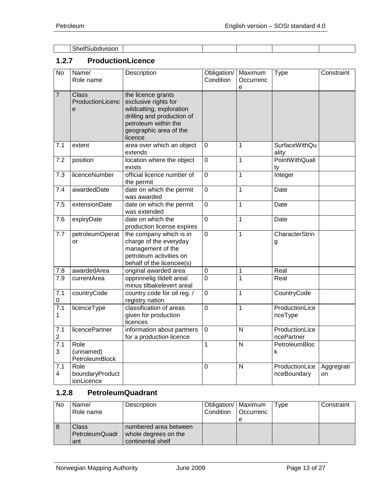| صد.<br>$\sim$<br>subdivision<br><b>Sneir</b><br>. |  |  |  |
|---------------------------------------------------|--|--|--|

# <span id="page-12-0"></span>**1.2.7 ProductionLicence**

| $\overline{N}$        | Name/<br>Role name                    | Description                                                                                                                                                       | Obligation/<br>Condition | Maximum<br>Occurrenc<br>e | <b>Type</b>                   | Constraint       |
|-----------------------|---------------------------------------|-------------------------------------------------------------------------------------------------------------------------------------------------------------------|--------------------------|---------------------------|-------------------------------|------------------|
| $\overline{7}$        | <b>Class</b><br>ProductionLicenc<br>e | the licence grants<br>exclusive rights for<br>wildcatting, exploration<br>drilling and production of<br>petroleum within the<br>geographic area of the<br>licence |                          |                           |                               |                  |
| 7.1                   | extent                                | area over which an object<br>extends                                                                                                                              | $\mathbf 0$              | 1                         | <b>SurfaceWithQu</b><br>ality |                  |
| 7.2                   | position                              | location where the object<br>exists                                                                                                                               | $\overline{0}$           | $\overline{1}$            | PointWithQuali<br>ty          |                  |
| 7.3                   | licenceNumber                         | official licence number of<br>the permit                                                                                                                          | $\mathbf 0$              | 1                         | Integer                       |                  |
| 7.4                   | awardedDate                           | date on which the permit<br>was awarded                                                                                                                           | $\overline{0}$           | $\overline{1}$            | Date                          |                  |
| 7.5                   | extensionDate                         | date on which the permit<br>was extended                                                                                                                          | $\mathbf 0$              | $\mathbf 1$               | Date                          |                  |
| 7.6                   | expiryDate                            | date on which the<br>production license expires                                                                                                                   | $\overline{0}$           | $\mathbf{1}$              | Date                          |                  |
| 7.7                   | petroleumOperat<br>or                 | the company which is in<br>charge of the everyday<br>management of the<br>petroleum activities on<br>behalf of the licencee(s)                                    | $\overline{0}$           | $\mathbf 1$               | CharacterStrin<br>g           |                  |
| $7.8\,$               | awardedArea                           | original awarded area                                                                                                                                             | $\boldsymbol{0}$         | 1                         | Real                          |                  |
| 7.9                   | currentArea                           | opprinnelig tildelt areal<br>minus tilbakelevert areal                                                                                                            | $\overline{0}$           | $\overline{1}$            | Real                          |                  |
| 7.1<br>0              | countryCode                           | country code for oil reg. /<br>registry nation                                                                                                                    | $\mathbf 0$              | $\overline{1}$            | CountryCode                   |                  |
| 7.1<br>$\mathbf{1}$   | licenceType                           | classification of areas<br>given for production<br>licences                                                                                                       | $\overline{0}$           | $\overline{1}$            | ProductionLice<br>nceType     |                  |
| 7.1<br>$\overline{c}$ | licencePartner                        | information about partners<br>for a production licence                                                                                                            | $\overline{0}$           | $\overline{N}$            | ProductionLice<br>ncePartner  |                  |
| 7.1<br>3              | Role<br>(unnamed)<br>PetroleumBlock   |                                                                                                                                                                   | 1                        | ${\sf N}$                 | PetroleumBloc<br>k            |                  |
| 7.1<br>4              | Role<br>boundaryProduct<br>ionLicence |                                                                                                                                                                   | 0                        | N                         | ProductionLice<br>nceBoundary | Aggregrati<br>on |

# <span id="page-12-1"></span>**1.2.8 PetroleumQuadrant**

| No  | Name/<br>Role name                    | Description                                                        | Obligation/   Maximum<br>Condition | l Occurrenc<br>e | Type | Constraint |
|-----|---------------------------------------|--------------------------------------------------------------------|------------------------------------|------------------|------|------------|
| l 8 | <b>Class</b><br>PetroleumQuadr<br>ant | numbered area between<br>whole degrees on the<br>continental shelf |                                    |                  |      |            |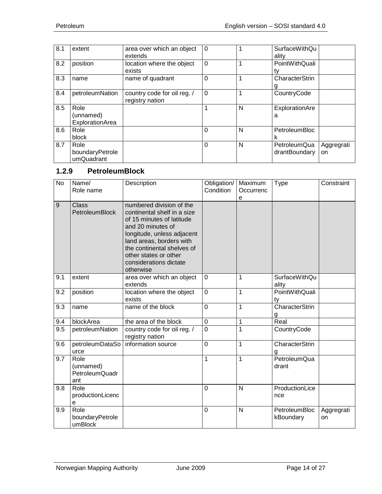| 8.1 | extent                                | area over which an object<br>extends           | $\overline{0}$ | 1 | <b>SurfaceWithQu</b><br>ality |                  |
|-----|---------------------------------------|------------------------------------------------|----------------|---|-------------------------------|------------------|
| 8.2 | position                              | location where the object<br>exists            | $\Omega$       | 1 | PointWithQuali<br>tv          |                  |
| 8.3 | name                                  | name of quadrant                               | $\mathbf 0$    |   | CharacterStrin                |                  |
| 8.4 | petroleumNation                       | country code for oil reg. /<br>registry nation | $\mathbf 0$    | 1 | CountryCode                   |                  |
| 8.5 | Role<br>(unnamed)<br>ExplorationArea  |                                                | 1              | N | ExplorationAre<br>a           |                  |
| 8.6 | Role<br>block                         |                                                | $\Omega$       | N | PetroleumBloc                 |                  |
| 8.7 | Role<br>boundaryPetrole<br>umQuadrant |                                                | $\Omega$       | N | PetroleumQua<br>drantBoundary | Aggregrati<br>on |

# <span id="page-13-0"></span>**1.2.9 PetroleumBlock**

| No  | Name/<br>Role name                                | Description                                                                                                                                                                                                                                                       | Obligation/<br>Condition | Maximum<br>Occurrenc<br>e | Type                          | Constraint       |
|-----|---------------------------------------------------|-------------------------------------------------------------------------------------------------------------------------------------------------------------------------------------------------------------------------------------------------------------------|--------------------------|---------------------------|-------------------------------|------------------|
| 9   | <b>Class</b><br><b>PetroleumBlock</b>             | numbered division of the<br>continental shelf in a size<br>of 15 minutes of latitude<br>and 20 minutes of<br>longitude, unless adjacent<br>land areas, borders with<br>the continental shelves of<br>other states or other<br>considerations dictate<br>otherwise |                          |                           |                               |                  |
| 9.1 | extent                                            | area over which an object<br>extends                                                                                                                                                                                                                              | $\mathbf 0$              | 1                         | <b>SurfaceWithQu</b><br>ality |                  |
| 9.2 | position                                          | location where the object<br>exists                                                                                                                                                                                                                               | $\overline{0}$           | $\mathbf 1$               | PointWithQuali<br>ty          |                  |
| 9.3 | name                                              | name of the block                                                                                                                                                                                                                                                 | $\overline{0}$           | 1                         | <b>CharacterStrin</b><br>g    |                  |
| 9.4 | blockArea                                         | the area of the block                                                                                                                                                                                                                                             | $\mathbf 0$              | 1                         | Real                          |                  |
| 9.5 | petroleumNation                                   | country code for oil reg. /<br>registry nation                                                                                                                                                                                                                    | $\overline{0}$           | 1                         | CountryCode                   |                  |
| 9.6 | petroleumDataSo<br>urce                           | information source                                                                                                                                                                                                                                                | $\overline{0}$           | 1                         | CharacterStrin<br>g           |                  |
| 9.7 | Role<br>(unnamed)<br><b>PetroleumQuadr</b><br>ant |                                                                                                                                                                                                                                                                   | 1                        | $\mathbf 1$               | PetroleumQua<br>drant         |                  |
| 9.8 | Role<br>productionLicenc<br>e                     |                                                                                                                                                                                                                                                                   | $\overline{0}$           | $\mathsf{N}$              | ProductionLice<br>nce         |                  |
| 9.9 | Role<br>boundaryPetrole<br>umBlock                |                                                                                                                                                                                                                                                                   | $\mathbf 0$              | $\mathsf{N}$              | PetroleumBloc<br>kBoundary    | Aggregrati<br>on |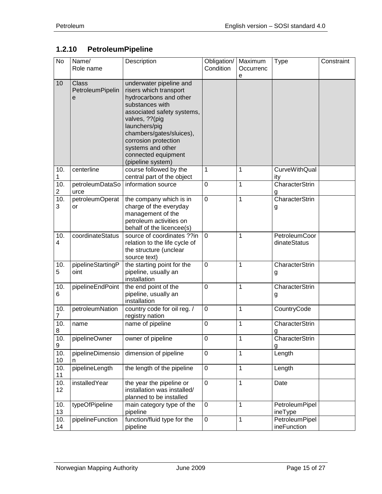# <span id="page-14-0"></span>**1.2.10 PetroleumPipeline**

| <b>No</b>             | Name/<br>Role name                    | Description                                                                                                                                                                                                                                                                           | Obligation/<br>Condition | Maximum<br>Occurrenc<br>e | <b>Type</b>                      | Constraint |
|-----------------------|---------------------------------------|---------------------------------------------------------------------------------------------------------------------------------------------------------------------------------------------------------------------------------------------------------------------------------------|--------------------------|---------------------------|----------------------------------|------------|
| 10                    | <b>Class</b><br>PetroleumPipelin<br>е | underwater pipeline and<br>risers which transport<br>hydrocarbons and other<br>substances with<br>associated safety systems,<br>valves, ?? (pig<br>launchers/pig<br>chambers/gates/sluices),<br>corrosion protection<br>systems and other<br>connected equipment<br>(pipeline system) |                          |                           |                                  |            |
| 10.<br>1              | centerline                            | course followed by the<br>central part of the object                                                                                                                                                                                                                                  | 1                        | 1                         | <b>CurveWithQual</b><br>ity      |            |
| 10.<br>$\overline{c}$ | petroleumDataSo<br>urce               | information source                                                                                                                                                                                                                                                                    | 0                        | 1                         | CharacterStrin<br>g              |            |
| 10.<br>3              | petroleumOperat<br>or                 | the company which is in<br>charge of the everyday<br>management of the<br>petroleum activities on<br>behalf of the licencee(s)                                                                                                                                                        | 0                        | 1                         | <b>CharacterStrin</b><br>g       |            |
| 10.<br>4              | coordinateStatus                      | source of coordinates ??in<br>relation to the life cycle of<br>the structure (unclear<br>source text)                                                                                                                                                                                 | $\mathbf 0$              | 1                         | PetroleumCoor<br>dinateStatus    |            |
| 10.<br>5              | pipelineStartingP<br>oint             | the starting point for the<br>pipeline, usually an<br>installation                                                                                                                                                                                                                    | $\mathbf 0$              | 1                         | CharacterStrin<br>g              |            |
| 10.<br>6              | pipelineEndPoint                      | the end point of the<br>pipeline, usually an<br>installation                                                                                                                                                                                                                          | $\mathbf 0$              | 1                         | CharacterStrin<br>g              |            |
| 10.<br>7              | petroleumNation                       | country code for oil reg. /<br>registry nation                                                                                                                                                                                                                                        | $\mathbf 0$              | 1                         | CountryCode                      |            |
| 10.<br>8              | name                                  | name of pipeline                                                                                                                                                                                                                                                                      | $\mathbf 0$              | 1                         | CharacterStrin<br>g              |            |
| 10.<br>9              | pipelineOwner                         | owner of pipeline                                                                                                                                                                                                                                                                     | 0                        | 1                         | CharacterStrin<br>g              |            |
| 10.<br>10             | pipelineDimensio<br>n                 | dimension of pipeline                                                                                                                                                                                                                                                                 | $\pmb{0}$                | 1                         | Length                           |            |
| 10.<br>11             | pipelineLength                        | the length of the pipeline                                                                                                                                                                                                                                                            | $\boldsymbol{0}$         | 1                         | Length                           |            |
| 10.<br>12             | installedYear                         | the year the pipeline or<br>installation was installed/<br>planned to be installed                                                                                                                                                                                                    | $\pmb{0}$                | 1                         | Date                             |            |
| 10.<br>13             | typeOfPipeline                        | main category type of the<br>pipeline                                                                                                                                                                                                                                                 | $\mathbf 0$              | 1                         | <b>PetroleumPipel</b><br>ineType |            |
| 10.<br>14             | pipelineFunction                      | function/fluid type for the<br>pipeline                                                                                                                                                                                                                                               | $\boldsymbol{0}$         | 1                         | PetroleumPipel<br>ineFunction    |            |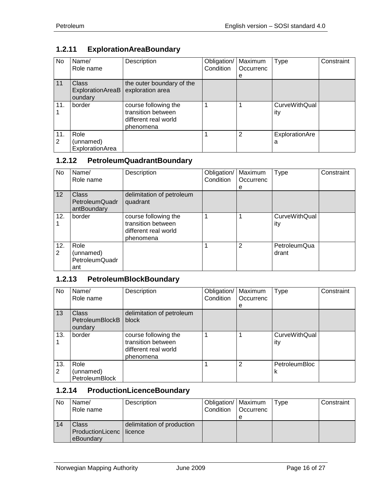# <span id="page-15-0"></span>**1.2.11 ExplorationAreaBoundary**

| No  | Name/            | Description               | Obligation/ | Maximum   | <b>Type</b>          | Constraint |
|-----|------------------|---------------------------|-------------|-----------|----------------------|------------|
|     | Role name        |                           | Condition   | Occurrenc |                      |            |
|     |                  |                           |             | е         |                      |            |
| 11  | <b>Class</b>     | the outer boundary of the |             |           |                      |            |
|     | ExplorationAreaB | exploration area          |             |           |                      |            |
|     | oundary          |                           |             |           |                      |            |
| 11. | border           | course following the      |             |           | <b>CurveWithQual</b> |            |
|     |                  | transition between        |             |           | ity                  |            |
|     |                  | different real world      |             |           |                      |            |
|     |                  | phenomena                 |             |           |                      |            |
| 11. | Role             |                           |             | 2         | ExplorationAre       |            |
| 2   | (unnamed)        |                           |             |           | a                    |            |
|     | ExplorationArea  |                           |             |           |                      |            |

#### <span id="page-15-1"></span>**1.2.12 PetroleumQuadrantBoundary**

| No.             | Name/<br>Role name                                | Description                                                                     | Obligation/<br>Condition | Maximum<br>Occurrenc | <b>Type</b>                 | Constraint |
|-----------------|---------------------------------------------------|---------------------------------------------------------------------------------|--------------------------|----------------------|-----------------------------|------------|
|                 |                                                   |                                                                                 |                          | е                    |                             |            |
| 12 <sup>2</sup> | Class<br>PetroleumQuadr<br>antBoundary            | delimitation of petroleum<br>quadrant                                           |                          |                      |                             |            |
| 12.             | border                                            | course following the<br>transition between<br>different real world<br>phenomena |                          |                      | <b>CurveWithQual</b><br>ity |            |
| 12.<br>2        | Role<br>(unnamed)<br><b>PetroleumQuadr</b><br>ant |                                                                                 |                          | 2                    | PetroleumQua<br>drant       |            |

#### <span id="page-15-2"></span>**1.2.13 PetroleumBlockBoundary**

| No       | Name/<br>Role name                                | Description                                                                     | Obligation/<br>Condition | Maximum<br>Occurrenc<br>e | <b>Type</b>                 | Constraint |
|----------|---------------------------------------------------|---------------------------------------------------------------------------------|--------------------------|---------------------------|-----------------------------|------------|
| 13       | <b>Class</b><br><b>PetroleumBlockB</b><br>oundary | delimitation of petroleum<br>block                                              |                          |                           |                             |            |
| 13.      | border                                            | course following the<br>transition between<br>different real world<br>phenomena |                          | 4                         | <b>CurveWithQual</b><br>ity |            |
| 13.<br>2 | Role<br>(unnamed)<br><b>PetroleumBlock</b>        |                                                                                 |                          | $\overline{2}$            | <b>PetroleumBloc</b><br>k   |            |

# <span id="page-15-3"></span>**1.2.14 ProductionLicenceBoundary**

| <b>No</b> | Name/<br>Role name                               | Description                | Obligation/   Maximum<br>Condition   Occurrenc | e | Type | Constraint |
|-----------|--------------------------------------------------|----------------------------|------------------------------------------------|---|------|------------|
| 14        | Class<br>ProductionLicenc   licence<br>eBoundary | delimitation of production |                                                |   |      |            |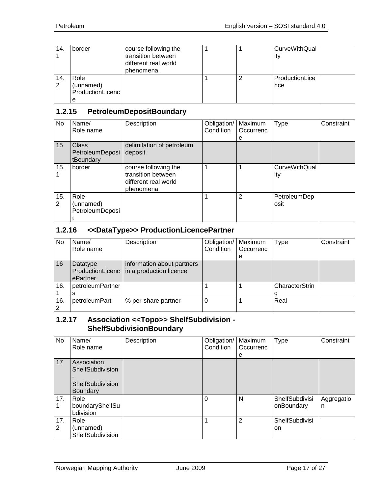| 14. | border           | course following the |   | <b>CurveWithQual</b> |  |
|-----|------------------|----------------------|---|----------------------|--|
|     |                  | transition between   |   | ity                  |  |
|     |                  | different real world |   |                      |  |
|     |                  | phenomena            |   |                      |  |
| 14. | Role             |                      | ာ | ProductionLice       |  |
| 2   | (unnamed)        |                      |   | nce                  |  |
|     | ProductionLicenc |                      |   |                      |  |
|     | е                |                      |   |                      |  |

#### <span id="page-16-0"></span>**1.2.15 PetroleumDepositBoundary**

| No       | Name/<br>Role name                    | Description                                                                     | Obligation/<br>Condition | Maximum<br>Occurrenc<br>е | <b>Type</b>                 | Constraint |
|----------|---------------------------------------|---------------------------------------------------------------------------------|--------------------------|---------------------------|-----------------------------|------------|
| 15       | Class<br>PetroleumDeposi<br>tBoundary | delimitation of petroleum<br>deposit                                            |                          |                           |                             |            |
| 15.      | border                                | course following the<br>transition between<br>different real world<br>phenomena |                          |                           | <b>CurveWithQual</b><br>ity |            |
| 15.<br>2 | Role<br>(unnamed)<br>PetroleumDeposi  |                                                                                 |                          | 2                         | PetroleumDep<br>osit        |            |

#### <span id="page-16-1"></span>**1.2.16 <<DataType>> ProductionLicencePartner**

| <b>No</b> | Name/<br>Role name                       | Description                                           | Obligation/<br>Condition | Maximum<br>Occurrenc<br>е | Type           | Constraint |
|-----------|------------------------------------------|-------------------------------------------------------|--------------------------|---------------------------|----------------|------------|
| 16        | Datatype<br>ProductionLicenc<br>ePartner | information about partners<br>in a production licence |                          |                           |                |            |
| 16.       | petroleumPartner                         |                                                       |                          |                           | CharacterStrin |            |
|           |                                          |                                                       |                          |                           |                |            |
| 16.       | petroleumPart                            | % per-share partner                                   |                          |                           | Real           |            |

#### <span id="page-16-2"></span>**1.2.17 Association <<Topo>> ShelfSubdivision - ShelfSubdivisionBoundary**

| No       | Name/<br>Role name                                                     | Description | Obligation/<br>Condition | Maximum<br>Occurrenc<br>e | <b>Type</b>                         | Constraint      |
|----------|------------------------------------------------------------------------|-------------|--------------------------|---------------------------|-------------------------------------|-----------------|
| 17       | Association<br>ShelfSubdivision<br>ShelfSubdivision<br><b>Boundary</b> |             |                          |                           |                                     |                 |
| 17.      | Role<br>boundaryShelfSu<br>bdivision                                   |             | $\Omega$                 | N                         | <b>ShelfSubdivisi</b><br>onBoundary | Aggregatio<br>n |
| 17.<br>2 | Role<br>(unnamed)<br>ShelfSubdivision                                  |             | 1                        | $\overline{2}$            | <b>ShelfSubdivisi</b><br>on         |                 |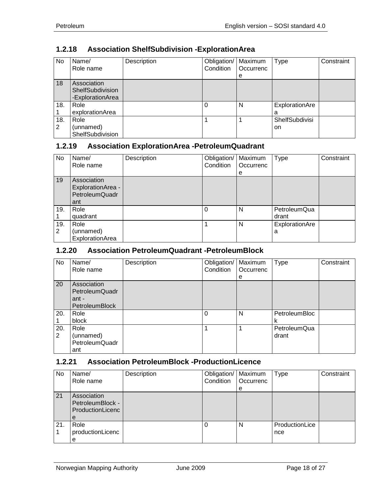# <span id="page-17-0"></span>**1.2.18 Association ShelfSubdivision -ExplorationArea**

| No.      | Name/<br>Role name                                  | Description | Obligation/<br>Condition | Maximum<br>Occurrenc<br>е | Type                        | Constraint |
|----------|-----------------------------------------------------|-------------|--------------------------|---------------------------|-----------------------------|------------|
| 18       | Association<br>ShelfSubdivision<br>-ExplorationArea |             |                          |                           |                             |            |
| 18.      | Role<br>explorationArea                             |             |                          | N                         | ExplorationAre<br>a         |            |
| 18.<br>2 | Role<br>(unnamed)<br>ShelfSubdivision               |             |                          |                           | <b>ShelfSubdivisi</b><br>on |            |

#### <span id="page-17-1"></span>**1.2.19 Association ExplorationArea -PetroleumQuadrant**

| No  | Name/                 | Description | Obligation/ | Maximum   | <b>Type</b>    | Constraint |
|-----|-----------------------|-------------|-------------|-----------|----------------|------------|
|     | Role name             |             | Condition   | Occurrenc |                |            |
|     |                       |             |             | е         |                |            |
| 19  | Association           |             |             |           |                |            |
|     | ExplorationArea -     |             |             |           |                |            |
|     | <b>PetroleumQuadr</b> |             |             |           |                |            |
|     | ant                   |             |             |           |                |            |
| 19. | Role                  |             |             | N         | PetroleumQua   |            |
|     | quadrant              |             |             |           | drant          |            |
| 19. | Role                  |             |             | N         | ExplorationAre |            |
| 2   | (unnamed)             |             |             |           | a              |            |
|     | ExplorationArea       |             |             |           |                |            |

#### <span id="page-17-2"></span>**1.2.20 Association PetroleumQuadrant -PetroleumBlock**

| No                    | Name/<br>Role name                                                     | Description | Obligation/<br>Condition | Maximum<br>Occurrenc<br>е | <b>Type</b>           | Constraint |
|-----------------------|------------------------------------------------------------------------|-------------|--------------------------|---------------------------|-----------------------|------------|
| 20                    | Association<br><b>PetroleumQuadr</b><br>ant -<br><b>PetroleumBlock</b> |             |                          |                           |                       |            |
| 20.                   | Role<br>block                                                          |             | 0                        | N                         | PetroleumBloc<br>κ    |            |
| 20.<br>$\overline{2}$ | Role<br>(unnamed)<br><b>PetroleumQuadr</b><br>ant                      |             |                          |                           | PetroleumQua<br>drant |            |

# <span id="page-17-3"></span>**1.2.21 Association PetroleumBlock -ProductionLicence**

| No. | Name/<br>Role name                                       | Description | Obligation/   Maximum<br>Condition | Occurrenc<br>e | <b>Type</b>           | Constraint |
|-----|----------------------------------------------------------|-------------|------------------------------------|----------------|-----------------------|------------|
| 21  | Association<br>PetroleumBlock -<br>ProductionLicenc<br>е |             |                                    |                |                       |            |
| 21. | Role<br>productionLicenc<br>е                            |             |                                    | N              | ProductionLice<br>nce |            |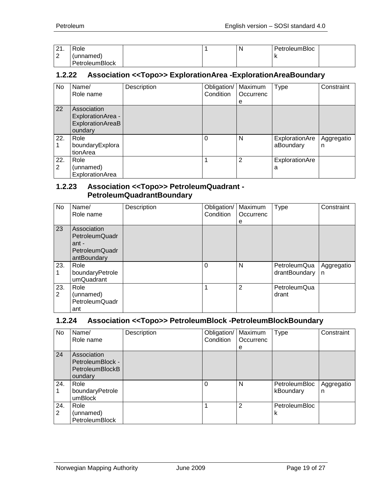| $\Omega$<br><u>.</u> | Role                  |  | N | PetroleumBloc |  |
|----------------------|-----------------------|--|---|---------------|--|
| ⌒<br>∠               | (unnamed)             |  |   |               |  |
|                      | <b>PetroleumBlock</b> |  |   |               |  |

#### <span id="page-18-0"></span>**1.2.22 Association <<Topo>> ExplorationArea -ExplorationAreaBoundary**

| No       | Name/<br>Role name                                              | Description | Obligation/   Maximum<br>Condition | Occurrenc<br>e | <b>Type</b>                 | Constraint      |
|----------|-----------------------------------------------------------------|-------------|------------------------------------|----------------|-----------------------------|-----------------|
| 22       | Association<br>ExplorationArea -<br>ExplorationAreaB<br>oundary |             |                                    |                |                             |                 |
| 22.      | Role<br>boundaryExplora<br>tionArea                             |             | $\Omega$                           | N              | ExplorationAre<br>aBoundary | Aggregatio<br>n |
| 22.<br>2 | Role<br>(unnamed)<br>ExplorationArea                            |             |                                    | $\overline{2}$ | ExplorationAre<br>a         |                 |

#### <span id="page-18-1"></span>**1.2.23 Association <<Topo>> PetroleumQuadrant - PetroleumQuadrantBoundary**

| No       | Name/<br>Role name                                                             | Description | Obligation/<br>Condition | Maximum<br>Occurrenc<br>е | <b>Type</b>                   | Constraint      |
|----------|--------------------------------------------------------------------------------|-------------|--------------------------|---------------------------|-------------------------------|-----------------|
| 23       | Association<br><b>PetroleumQuadr</b><br>ant -<br>PetroleumQuadr<br>antBoundary |             |                          |                           |                               |                 |
| 23.      | Role<br>boundaryPetrole<br>umQuadrant                                          |             | 0                        | N                         | PetroleumQua<br>drantBoundary | Aggregatio<br>n |
| 23.<br>2 | Role<br>(unnamed)<br><b>PetroleumQuadr</b><br>ant                              |             |                          | 2                         | PetroleumQua<br>drant         |                 |

#### <span id="page-18-2"></span>**1.2.24 Association <<Topo>> PetroleumBlock -PetroleumBlockBoundary**

| No       | Name/<br>Role name                                                   | Description | Obligation/<br>Condition | Maximum<br>Occurrenc<br>е | <b>Type</b>                | Constraint      |
|----------|----------------------------------------------------------------------|-------------|--------------------------|---------------------------|----------------------------|-----------------|
| 24       | Association<br>PetroleumBlock -<br><b>PetroleumBlockB</b><br>oundary |             |                          |                           |                            |                 |
| 24.      | Role<br>boundaryPetrole<br>umBlock                                   |             | $\Omega$                 | N                         | PetroleumBloc<br>kBoundary | Aggregatio<br>n |
| 24.<br>2 | Role<br>(unnamed)<br>PetroleumBlock                                  |             |                          | $\overline{2}$            | <b>PetroleumBloc</b><br>k  |                 |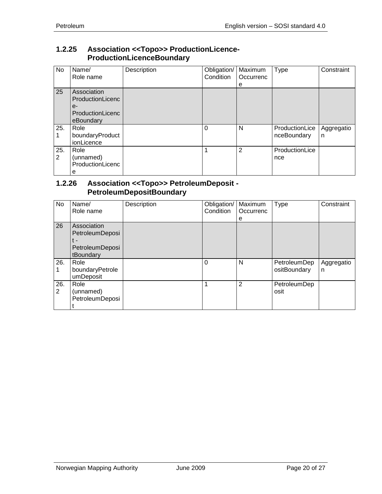#### <span id="page-19-0"></span>**1.2.25 Association <<Topo>> ProductionLicence-ProductionLicenceBoundary**

| No                    | Name/<br>Role name                                                       | Description | Obligation/<br>Condition | Maximum<br>Occurrenc<br>e | Type                          | Constraint      |
|-----------------------|--------------------------------------------------------------------------|-------------|--------------------------|---------------------------|-------------------------------|-----------------|
| 25                    | Association<br>ProductionLicenc<br>$e-$<br>ProductionLicenc<br>eBoundary |             |                          |                           |                               |                 |
| 25.                   | Role<br>boundaryProduct<br>ionLicence                                    |             | $\Omega$                 | N                         | ProductionLice<br>nceBoundary | Aggregatio<br>n |
| 25.<br>$\overline{2}$ | Role<br>(unnamed)<br>ProductionLicenc<br>е                               |             | 1                        | $\overline{2}$            | ProductionLice<br>nce         |                 |

#### <span id="page-19-1"></span>**1.2.26 Association <<Topo>> PetroleumDeposit - PetroleumDepositBoundary**

| No       | Name/<br>Role name                                                    | Description | Obligation/<br>Condition | Maximum<br>Occurrenc<br>e | Type                         | Constraint      |
|----------|-----------------------------------------------------------------------|-------------|--------------------------|---------------------------|------------------------------|-----------------|
| 26       | Association<br>PetroleumDeposi<br>t -<br>PetroleumDeposi<br>tBoundary |             |                          |                           |                              |                 |
| 26.      | Role<br>boundaryPetrole<br>umDeposit                                  |             | $\Omega$                 | N                         | PetroleumDep<br>ositBoundary | Aggregatio<br>n |
| 26.<br>2 | Role<br>(unnamed)<br>PetroleumDeposi                                  |             | 1                        | $\overline{2}$            | PetroleumDep<br>osit         |                 |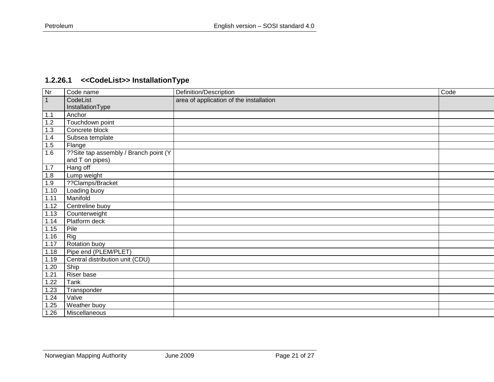# **1.2.26.1 <<CodeList>> InstallationType**

<span id="page-20-0"></span>

| <b>Nr</b>      | Code name                              | Definition/Description                  | Code |
|----------------|----------------------------------------|-----------------------------------------|------|
| $\overline{1}$ | CodeList                               | area of application of the installation |      |
|                | InstallationType                       |                                         |      |
| 1.1            | Anchor                                 |                                         |      |
| 1.2            | Touchdown point                        |                                         |      |
| 1.3            | Concrete block                         |                                         |      |
| 1.4            | Subsea template                        |                                         |      |
| 1.5            | Flange                                 |                                         |      |
| 1.6            | ?? Site tap assembly / Branch point (Y |                                         |      |
|                | and T on pipes)                        |                                         |      |
| $1.7$          | Hang off                               |                                         |      |
| 1.8            | Lump weight                            |                                         |      |
| 1.9            | ??Clamps/Bracket                       |                                         |      |
| 1.10           | Loading buoy                           |                                         |      |
| 1.11           | Manifold                               |                                         |      |
| 1.12           | Centreline buoy                        |                                         |      |
| 1.13           | Counterweight                          |                                         |      |
| 1.14           | Platform deck                          |                                         |      |
| 1.15           | Pile                                   |                                         |      |
| 1.16           | Rig                                    |                                         |      |
| 1.17           | Rotation buoy                          |                                         |      |
| 1.18           | Pipe end (PLEM/PLET)                   |                                         |      |
| 1.19           | Central distribution unit (CDU)        |                                         |      |
| 1.20           | Ship                                   |                                         |      |
| 1.21           | Riser base                             |                                         |      |
| 1.22           | Tank                                   |                                         |      |
| 1.23           | Transponder                            |                                         |      |
| 1.24           | Valve                                  |                                         |      |
| 1.25           | Weather buoy                           |                                         |      |
| 1.26           | Miscellaneous                          |                                         |      |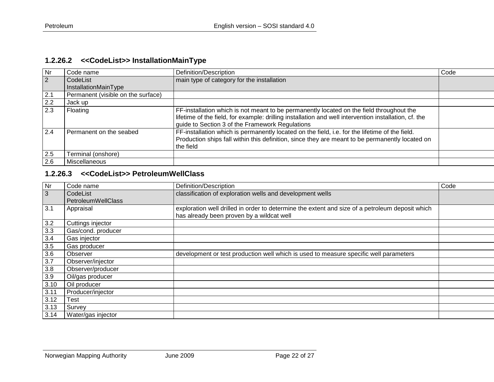# **1.2.26.2 <<CodeList>> InstallationMainType**

| Nr.           | Code name                          | Definition/Description                                                                                                                                                                                                                               | Code |
|---------------|------------------------------------|------------------------------------------------------------------------------------------------------------------------------------------------------------------------------------------------------------------------------------------------------|------|
| $ 2\rangle$   | CodeList                           | main type of category for the installation                                                                                                                                                                                                           |      |
|               | InstallationMainType               |                                                                                                                                                                                                                                                      |      |
| $\boxed{2.1}$ | Permanent (visible on the surface) |                                                                                                                                                                                                                                                      |      |
| 2.2           | Jack up                            |                                                                                                                                                                                                                                                      |      |
| 2.3           | Floating                           | FF-installation which is not meant to be permanently located on the field throughout the<br>lifetime of the field, for example: drilling installation and well intervention installation, cf. the<br>guide to Section 3 of the Framework Regulations |      |
| 2.4           | Permanent on the seabed            | FF-installation which is permanently located on the field, i.e. for the lifetime of the field.<br>Production ships fall within this definition, since they are meant to be permanently located on<br>the field                                       |      |
| 2.5           | Terminal (onshore)                 |                                                                                                                                                                                                                                                      |      |
| 2.6           | Miscellaneous                      |                                                                                                                                                                                                                                                      |      |

#### <span id="page-21-0"></span>**1.2.26.3 <<CodeList>> PetroleumWellClass**

<span id="page-21-1"></span>

| Nr   | Code name          | Definition/Description                                                                          | Code |
|------|--------------------|-------------------------------------------------------------------------------------------------|------|
| 3    | CodeList           | classification of exploration wells and development wells                                       |      |
|      | PetroleumWellClass |                                                                                                 |      |
| 3.1  | Appraisal          | exploration well drilled in order to determine the extent and size of a petroleum deposit which |      |
|      |                    | has already been proven by a wildcat well                                                       |      |
| 3.2  | Cuttings injector  |                                                                                                 |      |
| 3.3  | Gas/cond. producer |                                                                                                 |      |
| 3.4  | Gas injector       |                                                                                                 |      |
| 3.5  | Gas producer       |                                                                                                 |      |
| 3.6  | Observer           | development or test production well which is used to measure specific well parameters           |      |
| 3.7  | Observer/injector  |                                                                                                 |      |
| 3.8  | Observer/producer  |                                                                                                 |      |
| 3.9  | Oil/gas producer   |                                                                                                 |      |
| 3.10 | Oil producer       |                                                                                                 |      |
| 3.11 | Producer/injector  |                                                                                                 |      |
| 3.12 | Test               |                                                                                                 |      |
| 3.13 | Survey             |                                                                                                 |      |
| 3.14 | Water/gas injector |                                                                                                 |      |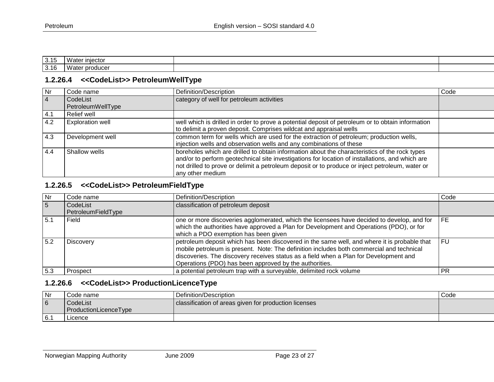| 3.15 | Wate<br>ा iniector |  |
|------|--------------------|--|
| 3.16 | Wate<br>produce    |  |

#### **1.2.26.4 <<CodeList>> PetroleumWellType**

| Nr             | Code name               | Definition/Description                                                                            | Code |
|----------------|-------------------------|---------------------------------------------------------------------------------------------------|------|
| $\overline{4}$ | CodeList                | category of well for petroleum activities                                                         |      |
|                | PetroleumWellType       |                                                                                                   |      |
| 4.1            | Relief well             |                                                                                                   |      |
| 4.2            | <b>Exploration well</b> | well which is drilled in order to prove a potential deposit of petroleum or to obtain information |      |
|                |                         | to delimit a proven deposit. Comprises wildcat and appraisal wells                                |      |
| 4.3            | Development well        | common term for wells which are used for the extraction of petroleum; production wells,           |      |
|                |                         | injection wells and observation wells and any combinations of these                               |      |
| 4.4            | Shallow wells           | boreholes which are drilled to obtain information about the characteristics of the rock types     |      |
|                |                         | and/or to perform geotechnical site investigations for location of installations, and which are   |      |
|                |                         | not drilled to prove or delimit a petroleum deposit or to produce or inject petroleum, water or   |      |
|                |                         | any other medium                                                                                  |      |

#### <span id="page-22-0"></span>**1.2.26.5 <<CodeList>> PetroleumFieldType**

| Nr              | Code name                      | Definition/Description                                                                      | Code      |
|-----------------|--------------------------------|---------------------------------------------------------------------------------------------|-----------|
| $5\overline{5}$ | CodeList<br>PetroleumFieldType | classification of petroleum deposit                                                         |           |
|                 |                                |                                                                                             |           |
| 15.1            | Field                          | one or more discoveries agglomerated, which the licensees have decided to develop, and for  | FE        |
|                 |                                | which the authorities have approved a Plan for Development and Operations (PDO), or for     |           |
|                 |                                | which a PDO exemption has been given                                                        |           |
| 5.2             | <b>Discovery</b>               | petroleum deposit which has been discovered in the same well, and where it is probable that | FU        |
|                 |                                | mobile petroleum is present. Note: The definition includes both commercial and technical    |           |
|                 |                                | discoveries. The discovery receives status as a field when a Plan for Development and       |           |
|                 |                                | Operations (PDO) has been approved by the authorities.                                      |           |
| 5.3             | Prospect                       | a potential petroleum trap with a surveyable, delimited rock volume                         | <b>PR</b> |

#### **1.2.26.6 <<CodeList>> ProductionLicenceType**

<span id="page-22-2"></span><span id="page-22-1"></span>

| Nr             | Code name             | Definition/Description                                | Code |
|----------------|-----------------------|-------------------------------------------------------|------|
| $\overline{6}$ | CodeList              | classification of areas given for production licenses |      |
|                | ProductionLicenceType |                                                       |      |
| 6.1            | _icence               |                                                       |      |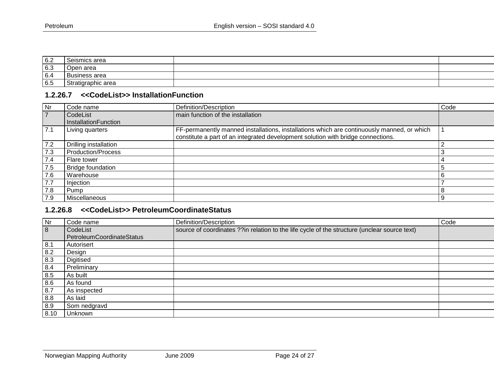| 6.2 | Seismics area             |  |
|-----|---------------------------|--|
| 6.3 | area<br>1nan<br>751.<br>ັ |  |
| 6.4 | <b>Business area</b>      |  |
| 6.5 | Stratigraphic area        |  |

#### **1.2.26.7 <<CodeList>> InstallationFunction**

| <b>Nr</b>      | Code name                        | Definition/Description                                                                     | Code |
|----------------|----------------------------------|--------------------------------------------------------------------------------------------|------|
| $\overline{7}$ | CodeList<br>InstallationFunction | main function of the installation                                                          |      |
| 7.1            | Living quarters                  | FF-permanently manned installations, installations which are continuously manned, or which |      |
|                |                                  | constitute a part of an integrated development solution with bridge connections.           |      |
| 7.2            | Drilling installation            |                                                                                            |      |
| 7.3            | <b>Production/Process</b>        |                                                                                            |      |
| 7.4            | Flare tower                      |                                                                                            |      |
| 7.5            | <b>Bridge foundation</b>         |                                                                                            | 5    |
| 7.6            | Warehouse                        |                                                                                            | 6    |
| 7.7            | Injection                        |                                                                                            |      |
| 7.8            | Pump                             |                                                                                            |      |
| 7.9            | Miscellaneous                    |                                                                                            | 9    |

#### <span id="page-23-0"></span>**1.2.26.8 <<CodeList>> PetroleumCoordinateStatus**

<span id="page-23-1"></span>

| $\overline{\mathsf{N}}$ r | Code name                             | Definition/Description                                                                       | Code |
|---------------------------|---------------------------------------|----------------------------------------------------------------------------------------------|------|
| $\overline{8}$            | CodeList<br>PetroleumCoordinateStatus | source of coordinates ??in relation to the life cycle of the structure (unclear source text) |      |
| 8.1                       | Autorisert                            |                                                                                              |      |
| $8.2$                     | Design                                |                                                                                              |      |
| 8.3                       | <b>Digitised</b>                      |                                                                                              |      |
| 8.4                       | Preliminary                           |                                                                                              |      |
| 8.5                       | As built                              |                                                                                              |      |
| $\frac{8.6}{8.7}$         | As found                              |                                                                                              |      |
|                           | As inspected                          |                                                                                              |      |
| 8.8                       | As laid                               |                                                                                              |      |
| 8.9                       | Som nedgravd                          |                                                                                              |      |
| 8.10                      | Unknown                               |                                                                                              |      |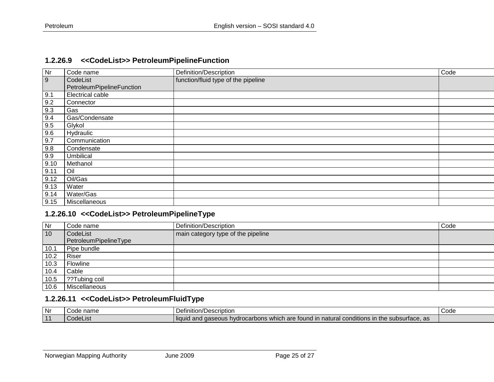#### **1.2.26.9 <<CodeList>> PetroleumPipelineFunction**

| $\overline{\mathsf{N}}$ r | Code name                             | Definition/Description              | Code |
|---------------------------|---------------------------------------|-------------------------------------|------|
| 9                         | CodeList<br>PetroleumPipelineFunction | function/fluid type of the pipeline |      |
| 9.1                       | <b>Electrical cable</b>               |                                     |      |
| 9.2                       | Connector                             |                                     |      |
| 9.3                       | Gas                                   |                                     |      |
| 9.4                       | Gas/Condensate                        |                                     |      |
| 9.5                       | Glykol                                |                                     |      |
| 9.6                       | Hydraulic                             |                                     |      |
| 9.7                       | Communication                         |                                     |      |
| 9.8                       | Condensate                            |                                     |      |
| 9.9                       | Umbilical                             |                                     |      |
| 9.10                      | Methanol                              |                                     |      |
| 9.11                      | Oil                                   |                                     |      |
| 9.12                      | Oil/Gas                               |                                     |      |
| 9.13                      | Water                                 |                                     |      |
| 9.14                      | Water/Gas                             |                                     |      |
| 9.15                      | Miscellaneous                         |                                     |      |

#### <span id="page-24-0"></span>**1.2.26.10 <<CodeList>> PetroleumPipelineType**

| Nr   | Code name             | Definition/Description             | Code |
|------|-----------------------|------------------------------------|------|
| 10   | CodeList              | main category type of the pipeline |      |
|      | PetroleumPipelineType |                                    |      |
| 10.1 | Pipe bundle           |                                    |      |
| 10.2 | Riser                 |                                    |      |
| 10.3 | Flowline              |                                    |      |
| 10.4 | Cable                 |                                    |      |
| 10.5 | ??Tubing coil         |                                    |      |
| 10.6 | Miscellaneous         |                                    |      |

#### **1.2.26.11 <<CodeList>> PetroleumFluidType**

<span id="page-24-2"></span><span id="page-24-1"></span>

| l Nr     | name     | /Description                                                                                                                                                           | nd C |
|----------|----------|------------------------------------------------------------------------------------------------------------------------------------------------------------------------|------|
|          | vuut     | Definition'                                                                                                                                                            | ouud |
| <b>A</b> | UUUELISL | 1.1.1<br>$\cdots$<br>ı are<br>l conditions<br>which<br>liquid<br>ົ<br>$\sim$<br>subsurface, as<br>s hvdrocarbons.<br>าatura<br>ına<br>; in the<br>- 101<br>anu uasevus |      |